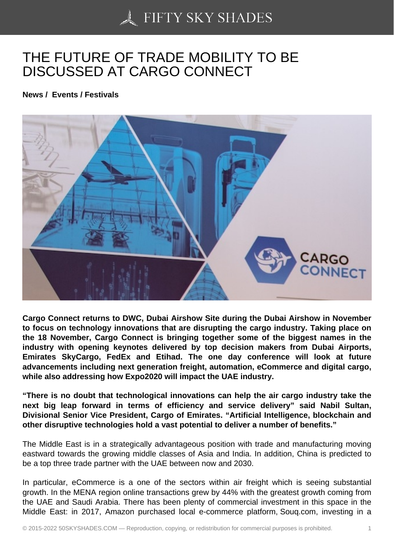## [THE FUTURE OF TRA](https://50skyshades.com)DE MOBILITY TO BE DISCUSSED AT CARGO CONNECT

News / Events / Festivals

Cargo Connect returns to DWC, Dubai Airshow Site during the Dubai Airshow in November to focus on technology innovations that are disrupting the cargo industry. Taking place on the 18 November, Cargo Connect is bringing together some of the biggest names in the industry with opening keynotes delivered by top decision makers from Dubai Airports, Emirates SkyCargo, FedEx and Etihad. The one day conference will look at future advancements including next generation freight, automation, eCommerce and digital cargo, while also addressing how Expo2020 will impact the UAE industry.

"There is no doubt that technological innovations can help the air cargo industry take the next big leap forward in terms of efficiency and service delivery" said Nabil Sultan, Divisional Senior Vice President, Cargo of Emirates. "Artificial Intelligence, blockchain and other disruptive technologies hold a vast potential to deliver a number of benefits."

The Middle East is in a strategically advantageous position with trade and manufacturing moving eastward towards the growing middle classes of Asia and India. In addition, China is predicted to be a top three trade partner with the UAE between now and 2030.

In particular, eCommerce is a one of the sectors within air freight which is seeing substantial growth. In the MENA region online transactions grew by 44% with the greatest growth coming from the UAE and Saudi Arabia. There has been plenty of commercial investment in this space in the Middle East: in 2017, Amazon purchased local e-commerce platform, Souq.com, investing in a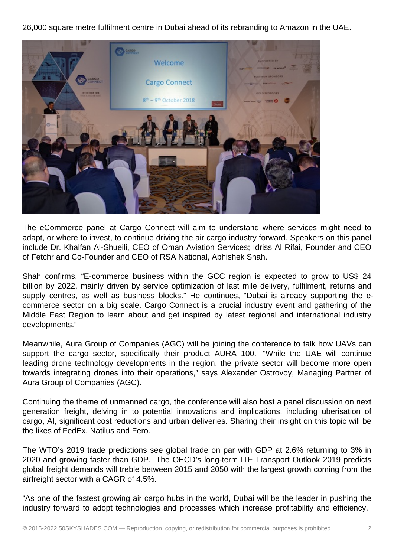26,000 square metre fulfilment centre in Dubai ahead of its rebranding to Amazon in the UAE.



The eCommerce panel at Cargo Connect will aim to understand where services might need to adapt, or where to invest, to continue driving the air cargo industry forward. Speakers on this panel include Dr. Khalfan Al-Shueili, CEO of Oman Aviation Services; Idriss Al Rifai, Founder and CEO of Fetchr and Co-Founder and CEO of RSA National, Abhishek Shah.

Shah confirms, "E-commerce business within the GCC region is expected to grow to US\$ 24 billion by 2022, mainly driven by service optimization of last mile delivery, fulfilment, returns and supply centres, as well as business blocks." He continues, "Dubai is already supporting the ecommerce sector on a big scale. Cargo Connect is a crucial industry event and gathering of the Middle East Region to learn about and get inspired by latest regional and international industry developments."

Meanwhile, Aura Group of Companies (AGC) will be joining the conference to talk how UAVs can support the cargo sector, specifically their product AURA 100. "While the UAE will continue leading drone technology developments in the region, the private sector will become more open towards integrating drones into their operations," says Alexander Ostrovoy, Managing Partner of Aura Group of Companies (AGC).

Continuing the theme of unmanned cargo, the conference will also host a panel discussion on next generation freight, delving in to potential innovations and implications, including uberisation of cargo, AI, significant cost reductions and urban deliveries. Sharing their insight on this topic will be the likes of FedEx, Natilus and Fero.

The WTO's 2019 trade predictions see global trade on par with GDP at 2.6% returning to 3% in 2020 and growing faster than GDP. The OECD's long-term ITF Transport Outlook 2019 predicts global freight demands will treble between 2015 and 2050 with the largest growth coming from the airfreight sector with a CAGR of 4.5%.

"As one of the fastest growing air cargo hubs in the world, Dubai will be the leader in pushing the industry forward to adopt technologies and processes which increase profitability and efficiency.